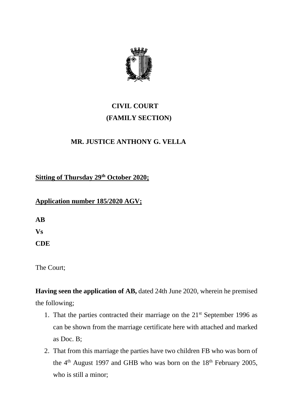

## **CIVIL COURT (FAMILY SECTION)**

## **MR. JUSTICE ANTHONY G. VELLA**

**Sitting of Thursday 29th October 2020;**

## **Application number 185/2020 AGV;**

**AB** 

**Vs**

**CDE**

The Court;

**Having seen the application of AB,** dated 24th June 2020, wherein he premised the following;

- 1. That the parties contracted their marriage on the  $21<sup>st</sup>$  September 1996 as can be shown from the marriage certificate here with attached and marked as Doc. B;
- 2. That from this marriage the parties have two children FB who was born of the 4<sup>th</sup> August 1997 and GHB who was born on the 18<sup>th</sup> February 2005, who is still a minor;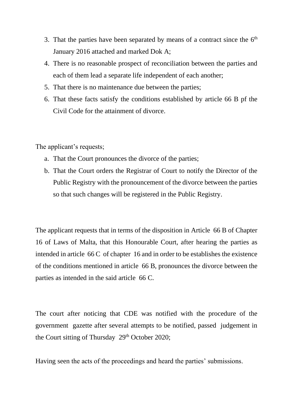- 3. That the parties have been separated by means of a contract since the  $6<sup>th</sup>$ January 2016 attached and marked Dok A;
- 4. There is no reasonable prospect of reconciliation between the parties and each of them lead a separate life independent of each another;
- 5. That there is no maintenance due between the parties;
- 6. That these facts satisfy the conditions established by article 66 B pf the Civil Code for the attainment of divorce.

The applicant's requests;

- a. That the Court pronounces the divorce of the parties;
- b. That the Court orders the Registrar of Court to notify the Director of the Public Registry with the pronouncement of the divorce between the parties so that such changes will be registered in the Public Registry.

The applicant requests that in terms of the disposition in Article 66 B of Chapter 16 of Laws of Malta, that this Honourable Court, after hearing the parties as intended in article 66 C of chapter 16 and in order to be establishes the existence of the conditions mentioned in article 66 B, pronounces the divorce between the parties as intended in the said article 66 C.

The court after noticing that CDE was notified with the procedure of the government gazette after several attempts to be notified, passed judgement in the Court sitting of Thursday  $29<sup>th</sup>$  October 2020;

Having seen the acts of the proceedings and heard the parties' submissions.